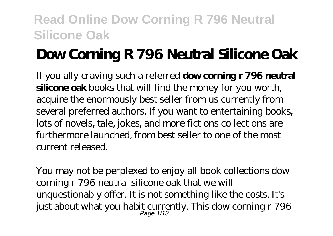# **Dow Corning R 796 Neutral Silicone Oak**

If you ally craving such a referred **dow corning r 796 neutral silicone oak** books that will find the money for you worth, acquire the enormously best seller from us currently from several preferred authors. If you want to entertaining books, lots of novels, tale, jokes, and more fictions collections are furthermore launched, from best seller to one of the most current released.

You may not be perplexed to enjoy all book collections dow corning r 796 neutral silicone oak that we will unquestionably offer. It is not something like the costs. It's just about what you habit currently. This dow corning  $r$  796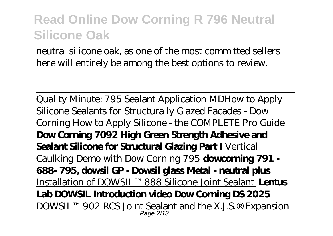neutral silicone oak, as one of the most committed sellers here will entirely be among the best options to review.

Quality Minute: 795 Sealant Application MDHow to Apply Silicone Sealants for Structurally Glazed Facades - Dow Corning How to Apply Silicone - the COMPLETE Pro Guide **Dow Corning 7092 High Green Strength Adhesive and Sealant Silicone for Structural Glazing Part I** Vertical Caulking Demo with Dow Corning 795 **dowcorning 791 - 688- 795, dowsil GP - Dowsil glass Metal - neutral plus** Installation of DOWSIL™ 888 Silicone Joint Sealant **Lentus Lab DOWSIL Introduction video Dow Corning DS 2025**  $\rm{DOWSIL^{TM}}$  902 RCS Joint Sealant and the X.J.S.® Expansion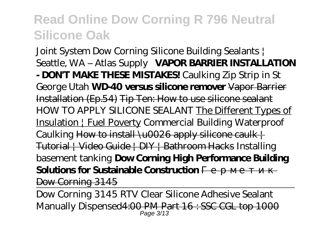Joint System Dow Corning Silicone Building Sealants | Seattle, WA – Atlas Supply **VAPOR BARRIER INSTALLATION - DON'T MAKE THESE MISTAKES!** Caulking Zip Strip in St George Utah **WD-40 versus silicone remover** Vapor Barrier Installation (Ep.54) Tip Ten: How to use silicone sealant *HOW TO APPLY SILICONE SEALANT* The Different Types of Insulation | Fuel Poverty Commercial Building Waterproof Caulking How to install  $\left\{\right. \left\{\right. \right. \left\{\right. \left\{\right. \left\{\right. \left\{\right. \left\{\right. \left\{\right. \left\{\right. \left\{\right. \left\{\right. \left\{\right. \left\{\right. \left\{\right. \left\{\right. \left\{\right. \left\{\right. \left\{\right. \left\{\right. \left\{\right. \left\{\right. \left\{\right. \left\{\right. \left\{\right. \left\{\right. \left\{\right. \left\{\right. \left\{\right. \left\{\right. \left\{\right. \left\{\right. \left\{\right. \$ Tutorial | Video Guide | DIY | Bathroom Hacks *Installing basement tanking* **Dow Corning High Performance Building Solutions for Sustainable Construction** 

Dow Corning 3145

Dow Corning 3145 RTV Clear Silicone Adhesive Sealant Manually Dispensed<del>4:00 PM Part 16 : SSC CGL top 1000</del>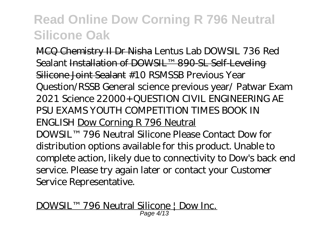MCQ Chemistry II Dr Nisha *Lentus Lab DOWSIL 736 Red Sealant* Installation of DOWSIL™ 890-SL Self-Leveling Silicone Joint Sealant #10 RSMSSB Previous Year Question/RSSB General science previous year/ Patwar Exam 2021 Science 22000+ QUESTION CIVIL ENGINEERING AE PSU EXAMS YOUTH COMPETITION TIMES BOOK IN ENGLISH Dow Corning R 796 Neutral DOWSIL™ 796 Neutral Silicone Please Contact Dow for distribution options available for this product. Unable to complete action, likely due to connectivity to Dow's back end service. Please try again later or contact your Customer Service Representative.

DOWSIL™ 796 Neutral Silicone | Dow Inc. Page 4/13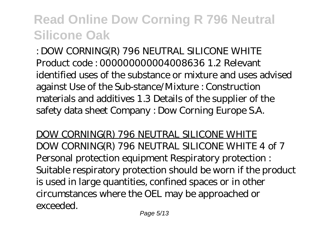: DOW CORNING(R) 796 NEUTRAL SILICONE WHITE Product code : 000000000004008636 1.2 Relevant identified uses of the substance or mixture and uses advised against Use of the Sub-stance/Mixture : Construction materials and additives 1.3 Details of the supplier of the safety data sheet Company : Dow Corning Europe S.A.

DOW CORNING(R) 796 NEUTRAL SILICONE WHITE DOW CORNING(R) 796 NEUTRAL SILICONE WHITE 4 of 7 Personal protection equipment Respiratory protection : Suitable respiratory protection should be worn if the product is used in large quantities, confined spaces or in other circumstances where the OEL may be approached or exceeded.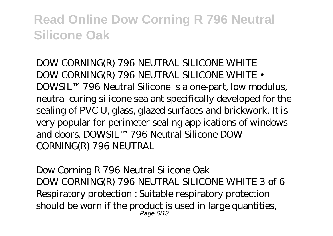DOW CORNING(R) 796 NEUTRAL SILICONE WHITE DOW CORNING(R) 796 NEUTRAL SILICONE WHITE • DOWSIL™ 796 Neutral Silicone is a one-part, low modulus, neutral curing silicone sealant specifically developed for the sealing of PVC-U, glass, glazed surfaces and brickwork. It is very popular for perimeter sealing applications of windows and doors. DOWSIL™ 796 Neutral Silicone DOW CORNING(R) 796 NEUTRAL

Dow Corning R 796 Neutral Silicone Oak DOW CORNING(R) 796 NEUTRAL SILICONE WHITE 3 of 6 Respiratory protection : Suitable respiratory protection should be worn if the product is used in large quantities, Page 6/13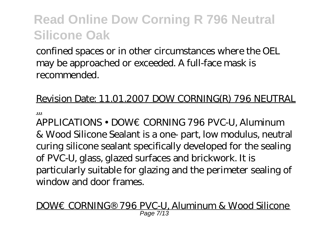confined spaces or in other circumstances where the OEL may be approached or exceeded. A full-face mask is recommended.

### Revision Date: 11.01.2007 DOW CORNING(R) 796 NEUTRAL

...

APPLICATIONS • DOW€CORNING 796 PVC-U, Aluminum & Wood Silicone Sealant is a one- part, low modulus, neutral curing silicone sealant specifically developed for the sealing of PVC-U, glass, glazed surfaces and brickwork. It is particularly suitable for glazing and the perimeter sealing of window and door frames.

DOW€CORNING® 796 PVC-U, Aluminum & Wood Silicone Page 7/13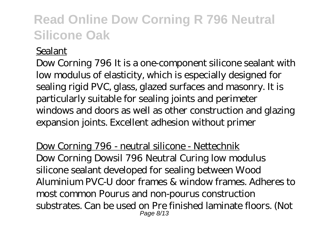#### Sealant

Dow Corning 796 It is a one-component silicone sealant with low modulus of elasticity, which is especially designed for sealing rigid PVC, glass, glazed surfaces and masonry. It is particularly suitable for sealing joints and perimeter windows and doors as well as other construction and glazing expansion joints. Excellent adhesion without primer

Dow Corning 796 - neutral silicone - Nettechnik Dow Corning Dowsil 796 Neutral Curing low modulus silicone sealant developed for sealing between Wood Aluminium PVC-U door frames & window frames. Adheres to most common Pourus and non-pourus construction substrates. Can be used on Pre finished laminate floors. (Not Page 8/13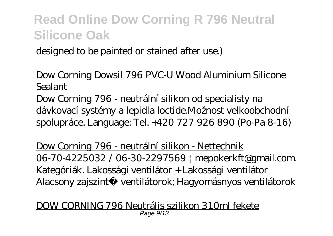designed to be painted or stained after use.)

### Dow Corning Dowsil 796 PVC-U Wood Aluminium Silicone Sealant

Dow Corning 796 - neutrální silikon od specialisty na dávkovací systémy a lepidla loctide.Možnost velkoobchodní spolupráce. Language: Tel. +420 727 926 890 (Po-Pa 8-16)

Dow Corning 796 - neutrální silikon - Nettechnik 06-70-4225032 / 06-30-2297569 | mepokerkft@gmail.com. Kategóriák. Lakossági ventilátor + Lakossági ventilátor Alacsony zajszint ventilátorok; Hagyomásnyos ventilátorok

DOW CORNING 796 Neutrális szilikon 310ml fekete Page 9/13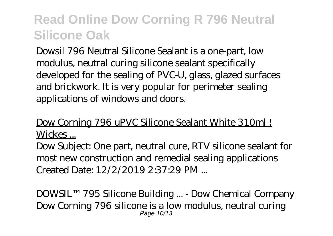Dowsil 796 Neutral Silicone Sealant is a one-part, low modulus, neutral curing silicone sealant specifically developed for the sealing of PVC-U, glass, glazed surfaces and brickwork. It is very popular for perimeter sealing applications of windows and doors.

Dow Corning 796 uPVC Silicone Sealant White 310ml Wickes ...

Dow Subject: One part, neutral cure, RTV silicone sealant for most new construction and remedial sealing applications Created Date: 12/2/2019 2:37:29 PM ...

DOWSIL™ 795 Silicone Building ... - Dow Chemical Company Dow Corning 796 silicone is a low modulus, neutral curing Page 10/13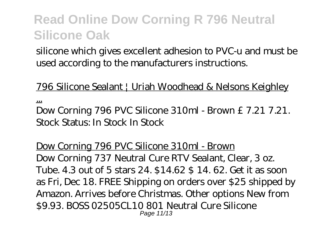silicone which gives excellent adhesion to PVC-u and must be used according to the manufacturers instructions.

796 Silicone Sealant | Uriah Woodhead & Nelsons Keighley

... Dow Corning 796 PVC Silicone 310ml - Brown £ 7.21 7.21. Stock Status: In Stock In Stock

Dow Corning 796 PVC Silicone 310ml - Brown Dow Corning 737 Neutral Cure RTV Sealant, Clear, 3 oz. Tube. 4.3 out of 5 stars 24. \$14.62 \$ 14. 62. Get it as soon as Fri, Dec 18. FREE Shipping on orders over \$25 shipped by Amazon. Arrives before Christmas. Other options New from \$9.93. BOSS 02505CL10 801 Neutral Cure Silicone Page 11/13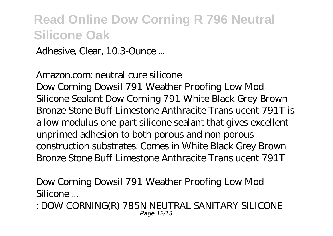Adhesive, Clear, 10.3-Ounce ...

#### Amazon.com: neutral cure silicone

Dow Corning Dowsil 791 Weather Proofing Low Mod Silicone Sealant Dow Corning 791 White Black Grey Brown Bronze Stone Buff Limestone Anthracite Translucent 791T is a low modulus one-part silicone sealant that gives excellent unprimed adhesion to both porous and non-porous construction substrates. Comes in White Black Grey Brown Bronze Stone Buff Limestone Anthracite Translucent 791T

### Dow Corning Dowsil 791 Weather Proofing Low Mod Silicone ...

: DOW CORNING(R) 785N NEUTRAL SANITARY SILICONE Page 12/13